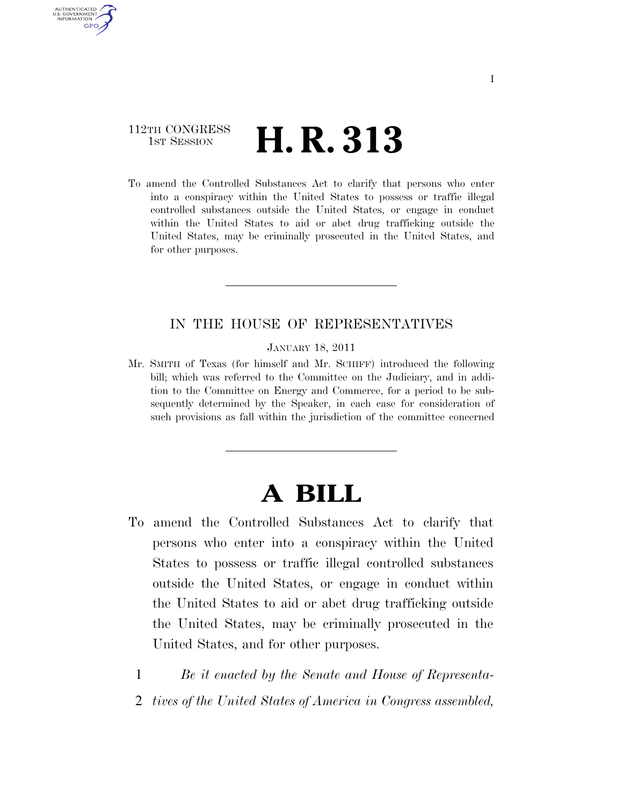## 112TH CONGRESS <sup>TH CONGRESS</sup>  $\,$  **H. R. 313**

AUTHENTICATED U.S. GOVERNMENT GPO

> To amend the Controlled Substances Act to clarify that persons who enter into a conspiracy within the United States to possess or traffic illegal controlled substances outside the United States, or engage in conduct within the United States to aid or abet drug trafficking outside the United States, may be criminally prosecuted in the United States, and for other purposes.

## IN THE HOUSE OF REPRESENTATIVES

JANUARY 18, 2011

Mr. SMITH of Texas (for himself and Mr. SCHIFF) introduced the following bill; which was referred to the Committee on the Judiciary, and in addition to the Committee on Energy and Commerce, for a period to be subsequently determined by the Speaker, in each case for consideration of such provisions as fall within the jurisdiction of the committee concerned

## **A BILL**

- To amend the Controlled Substances Act to clarify that persons who enter into a conspiracy within the United States to possess or traffic illegal controlled substances outside the United States, or engage in conduct within the United States to aid or abet drug trafficking outside the United States, may be criminally prosecuted in the United States, and for other purposes.
	- 1 *Be it enacted by the Senate and House of Representa-*
	- 2 *tives of the United States of America in Congress assembled,*